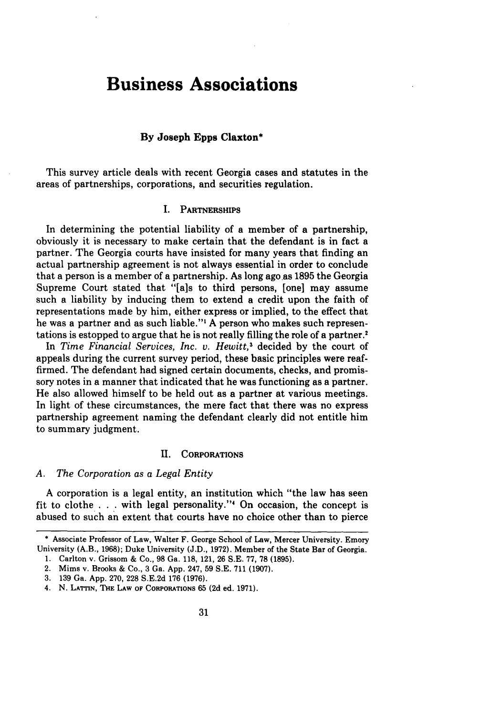# **Business Associations**

## **By Joseph Epps Claxton\***

This survey article deals with recent Georgia cases and statutes in the areas of partnerships, corporations, and securities regulation.

## **I. PARTNERSHIPS**

In determining the potential liability of a member of a partnership, obviously it is necessary to make certain that the defendant is in fact a partner. The Georgia courts have insisted for many years that finding an actual partnership agreement is not always essential in order to conclude that a person is a member of a partnership. As long ago as **1895** the Georgia Supreme Court stated that "[als to third persons, [one] may assume such a liability **by** inducing them to extend a credit upon the faith of representations made **by** him, either express or implied, to the effect that he was a partner and as such liable."' **A** person who makes such representations is estopped to argue that he is not really filling the role of a partner.<sup>2</sup>

In *Time Financial Services, Inc. v. Hewitt,3* decided **by** the court of appeals during the current survey period, these basic principles were reaffirmed. The defendant had signed certain documents, checks, and promissory notes in a manner that indicated that he was functioning as a partner. He also allowed himself to be held out as a partner at various meetings. In light of these circumstances, the mere fact that there was no express partnership agreement naming the defendant clearly did not entitle him to summary judgment.

## **I. CORPORATIONS**

## *A. The Corporation as a Legal Entity*

A corporation is a legal entity, an institution which "the law has seen fit to clothe  $\ldots$  with legal personality."<sup>4</sup> On occasion, the concept is abused to such an extent that courts have no choice other than to pierce

- **I.** Carlton v. Grissom & Co., **98** Ga. 118, 121, **26** S.E. **77, 78 (1895).**
- 2. Mims v. Brooks & Co., 3 Ga. App. 247, **59** S.E. 711 **(1907).**

**<sup>\*</sup>** Associate Professor of Law, Walter F. George School of Law, Mercer University. Emory University (A.B., **1968);** Duke University (J.D., **1972).** Member of the State Bar of Georgia.

**<sup>3. 139</sup>** Ga. App. 270, **228** S.E.2d **176** (1976).

<sup>4.</sup> **N. LATTIN, THE LAW OF** CORPORATIONS 65 **(2d** ed. **1971).**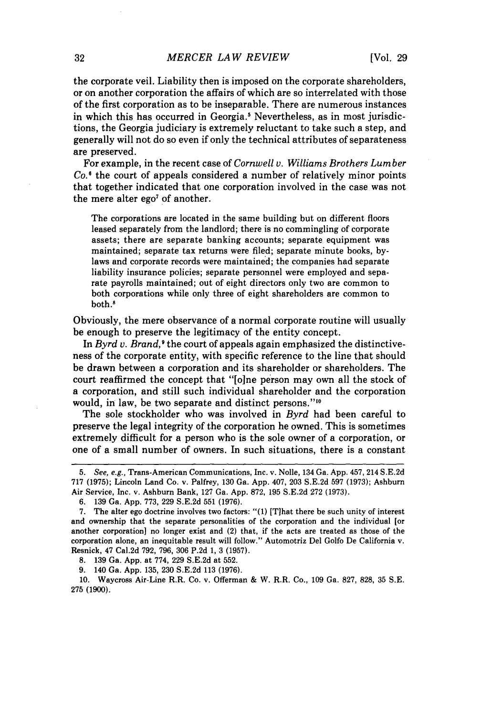the corporate veil. Liability then is imposed on the corporate shareholders, or on another corporation the affairs of which are so interrelated with those of the first corporation as to be inseparable. There are numerous instances in which this has occurred in Georgia.<sup>5</sup> Nevertheless, as in most jurisdictions, the Georgia judiciary is extremely reluctant to take such a step, and generally will not do so even if only the technical attributes of separateness are preserved.

For example, in the recent case of *Cornwell v. Williams Brothers Lumber Co.'* the court of appeals considered a number of relatively minor points that together indicated that one corporation involved in the case was not the mere alter ego<sup>7</sup> of another.

The corporations are located in the same building but on different floors leased separately from the landlord; there is no commingling of corporate assets; there are separate banking accounts; separate equipment was maintained; separate tax returns were filed; separate minute books, bylaws and corporate records were maintained; the companies had separate liability insurance policies; separate personnel were employed and separate payrolls maintained; out of eight directors only two are common to both corporations while only three of eight shareholders are common to both.8

Obviously, the mere observance of a normal corporate routine will usually be enough to preserve the legitimacy of the entity concept.

In *Byrd v. Brand*,<sup>9</sup> the court of appeals again emphasized the distinctiveness of the corporate entity, with specific reference to the line that should be drawn between a corporation and its shareholder or shareholders. The court reaffirmed the concept that "[o]ne person may own all the stock of a corporation, and still such individual shareholder and the corporation would, in law, be two separate and distinct persons."<sup>10</sup>

The sole stockholder who was involved in *Byrd* had been careful to preserve the legal integrity of the corporation he owned. This is sometimes extremely difficult for a person who is the sole owner of a corporation, or one of a small number of owners. In such situations, there is a constant

**8. 139** Ga. **App.** at **774, 229 S.E.2d** at **552.**

**9.** 140 Ga. **App. 135, 230 S.E.2d 113 (1976).**

**10.** Waycross Air-Line R.R. Co. v. Offerman & W. R.R. Co., **109** Ga. **827, 828, 35 S.E.** 275 **(1900).**

<sup>5.</sup> See, e.g., Trans-American Communications, Inc. v. Nolle, 134 Ga. App. 457, 214 S.E.2d 717 (1975); Lincoln Land Co. v. Palfrey, 130 Ga. App. 407, 203 S.E.2d 597 (1973); Ashburn Air Service, Inc. v. Ashburn Bank, 127 Ga. App. 872, 195 S.E.2d 272 (1973).

<sup>6. 139</sup> Ga. App. 773, 229 S.E.2d 551 (1976).

<sup>7.</sup> The alter ego doctrine involves two factors: "(1) [Tlhat there be such unity of interest and ownership that the separate personalities of the corporation and the individual [or another corporation] no longer exist and (2) that, if the acts are treated as those of the corporation alone, an inequitable result will follow." Automotriz Del Golfo De California v. Resnick, 47 Cal.2d **792, 796, 306 P.2d 1,** 3 **(1957).**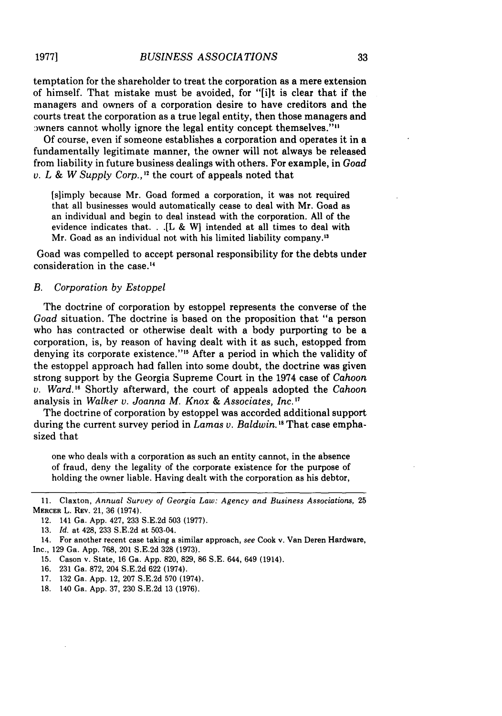temptation for the shareholder to treat the corporation as a mere extension of himself. That mistake must be avoided, for "filt is clear that if the managers and owners of a corporation desire to have creditors and the courts treat the corporation as a true legal entity, then those managers and by by surface in the legal entity concept themselves.""

Of course, even if someone establishes a corporation and operates it in a fundamentally legitimate manner, the owner will not always be released from liability in future business dealings with others. For example, in *Goad v. L & W Supply Corp.*,  $^{\text{12}}$  the court of appeals noted that

[slimply because Mr. Goad formed a corporation, it was not required that all businesses would automatically cease to deal with Mr. Goad as an individual and begin to deal instead with the corporation. All of the evidence indicates that. **. .[L** & W1 intended at all times to deal with Mr. Goad as an individual not with his limited liability company.'"

Goad was compelled to accept personal responsibility for the debts under consideration in the case.<sup>14</sup>

## *B. Corporation by Estoppel*

The doctrine of corporation by estoppel represents the converse of the *Goad* situation. The doctrine is based on the proposition that "a person who has contracted or otherwise dealt with a body purporting to be a corporation, is, by reason of having dealt with it as such, estopped from denying its corporate existence."<sup>15</sup> After a period in which the validity of the estoppel approach had fallen into some doubt, the doctrine was given strong support by the Georgia Supreme Court in the 1974 case of *Cahoon v. Ward."* Shortly afterward, the court of appeals adopted the *Cahoon* analysis in *Walker v. Joanna M. Knox & Associates, Inc.* **'"**

The doctrine of corporation by estoppel was accorded additional support during the current survey period in *Lamas v. Baldwin*.<sup>18</sup> That case emphasized that

one who deals with a corporation as such an entity cannot, in the absence of fraud, deny the legality of the corporate existence for the purpose of holding the owner liable. Having dealt with the corporation as his debtor,

- 16. 231 Ga. 872, 204 S.E.2d **622** (1974).
- 17. 132 Ga. App. 12, 207 S.E.2d 570 (1974).
- 18. 140 Ga. App. 37, 230 S.E.2d 13 (1976).

<sup>11.</sup> Claxton, *Annual Survey of Georgia Law: Agency and Business Associations,* 25 MERCER L. REV. 21, 36 (1974).

<sup>12. 141</sup> Ga. App. 427, 233 S.E.2d 503 (1977).

<sup>13.</sup> *Id.* at 428, 233 S.E.2d at 503-04.

<sup>14.</sup> For another recent case taking a similar approach, *see* Cook v. Van Deren Hardware, Inc., 129 Ga. App. 768, 201 S.E.2d 328 (1973).

<sup>15.</sup> Cason v. State, 16 Ga. App. 820, 829, 86 S.E. 644, 649 (1914).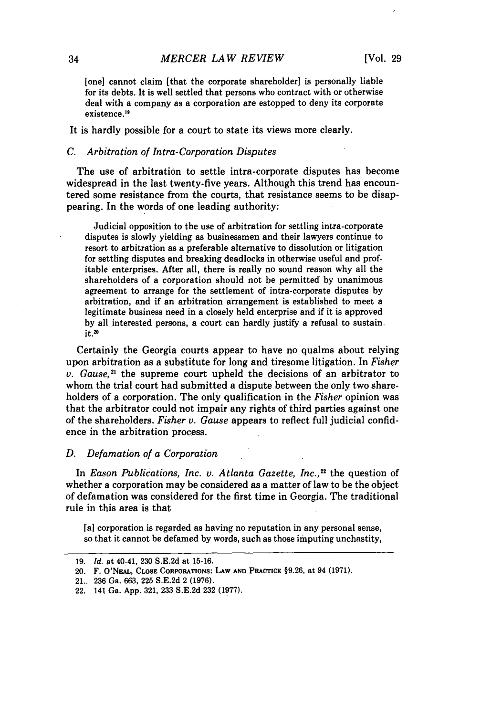[one] cannot claim [that the corporate shareholder] is personally liable for its debts. It is well settled that persons who contract with or otherwise deal with a company as a corporation are estopped to deny its corporate existence."

It is hardly possible for a court to state its views more clearly.

## *C. Arbitration of Intra-Corporation Disputes*

The use of arbitration to settle intra-corporate disputes has become widespread in the last twenty-five years. Although this trend has encountered some resistance from the courts, that resistance seems to be disappearing. In the words of one leading authority:

Judicial opposition to the use of arbitration for settling intra-corporate disputes is slowly yielding as businessmen and their lawyers continue to resort to arbitration as a preferable alternative to dissolution or litigation for settling disputes and breaking deadlocks in otherwise useful and profitable enterprises. After all, there is really no sound reason why all the shareholders of a corporation should not be permitted **by** unanimous agreement to arrange for the settlement of intra-corporate disputes **by** arbitration, and if an arbitration arrangement is established to meet a legitimate business need in a closely held enterprise and if it is approved by all interested persons, a court can hardly justify a refusal to sustain.  $it.20$ 

Certainly the Georgia courts appear to have no qualms about relying upon arbitration as a substitute for long and tiresome litigation. In *Fisher*  $v.$  *Gause*,<sup>21</sup> the supreme court upheld the decisions of an arbitrator to whom the trial court had submitted a dispute between the only two shareholders of a corporation. The only qualification in the *Fisher* opinion was that the arbitrator could not impair any rights of third parties against one of the shareholders. *Fisher v. Gause* appears to reflect full judicial confidence in the arbitration process.

#### *D. Defamation of a Corporation*

In *Eason Publications, Inc. v. Atlanta Gazette, Inc.*,<sup>22</sup> the question of whether a corporation may be considered as a matter of law to be the object of defamation was considered for the first time in Georgia. The traditional rule in this area is that

[a] corporation is regarded as having no reputation in any personal sense, so that it cannot be defamed **by** words, such as those imputing unchastity,

**<sup>19.</sup>** *Id.* at 40-41, **230 S.E.2d** at **15-16.**

<sup>20.</sup> F. O'NEAL, CLOSE CORPORATIONS: LAW AND PRACTICE §9.26, at 94 (1971).

<sup>21..</sup> **236** Ga. **663, 225 S.E.2d** 2 **(1976).**

<sup>22. 141</sup> Ga. **App. 321, 233 S.E.2d 232 (1977).**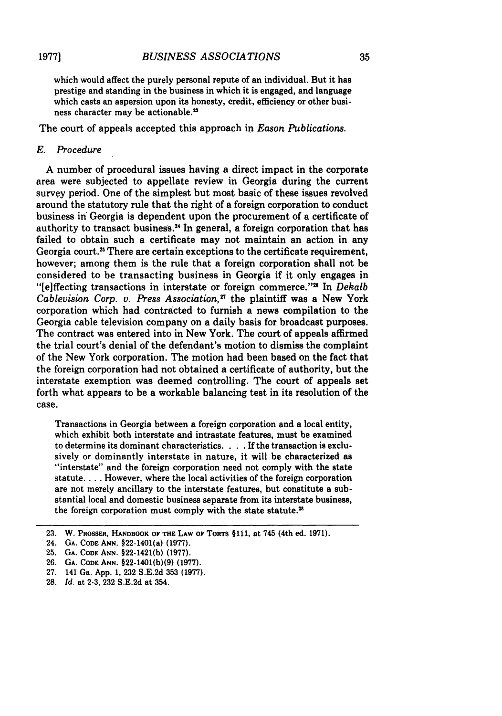which would affect the purely personal repute of an individual. But it has prestige and standing in the business in which it is engaged, and language which casts an aspersion upon its honesty, credit, efficiency or other business character may be actionable."

The court of appeals accepted this approach in *Eason Publications.*

## E. Procedure

A number of procedural issues having a direct impact in the corporate area were subjected to appellate review in Georgia during the current survey period. One of the simplest but most basic of these issues revolved around the statutory rule that the right of a foreign corporation to conduct business in Georgia is dependent upon the procurement of a certificate of authority to transact business.<sup>24</sup> In general, a foreign corporation that has failed to obtain such a certificate may not maintain an action in any Georgia court.<sup>25</sup> There are certain exceptions to the certificate requirement, however; among them is the rule that a foreign corporation shall not be considered to be transacting business in Georgia if it only engages in "[e]ffecting transactions in interstate or foreign commerce."<sup>28</sup> In *Dekalb Cablevision Corp.* v. *Press Association,"* the plaintiff was a New York corporation which had contracted to furnish a news compilation to the Georgia cable television company on a daily basis for broadcast purposes. The contract was entered into in New York. The court of appeals affirmed the trial court's denial of the defendant's motion to dismiss the complaint of the New York corporation. The motion had been based on the fact that the foreign corporation had not obtained a certificate of authority, but the interstate exemption was deemed controlling. The court of appeals set forth what appears to be a workable balancing test in its resolution of the case.

Transactions in Georgia between a foreign corporation and a local entity, which exhibit both interstate and intrastate features, must be examined to determine its dominant characteristics. . **.** .If the transaction is exclusively or dominantly interstate in nature, it will be characterized as "interstate" and the foreign corporation need not comply with the state statute **....** However, where the local activities of the foreign corporation are not merely ancillary to the interstate features, but constitute a substantial local and domestic business separate from its interstate business, the foreign corporation must comply with the state statute.<sup>28</sup>

**25. GA. CODE ANN. §22-1421(b) (1977).**

- **27. 141 Ga. App. 1, 232 S.E.2d 353 (1977).**
- **28.** *Id.* at **2-3, 232 S.E.2d** at 354.

**<sup>23.</sup>** W. Paosszs, **HANDBOOK OF THE LAW OF ToRTs §111,** at 745 (4th **ed. 1971).**

**<sup>24.</sup> GA. CODE ANN. §22-1401(a) (1977).**

**<sup>26.</sup> GA. CODE ANN. §22-1401(b)(9) (1977).**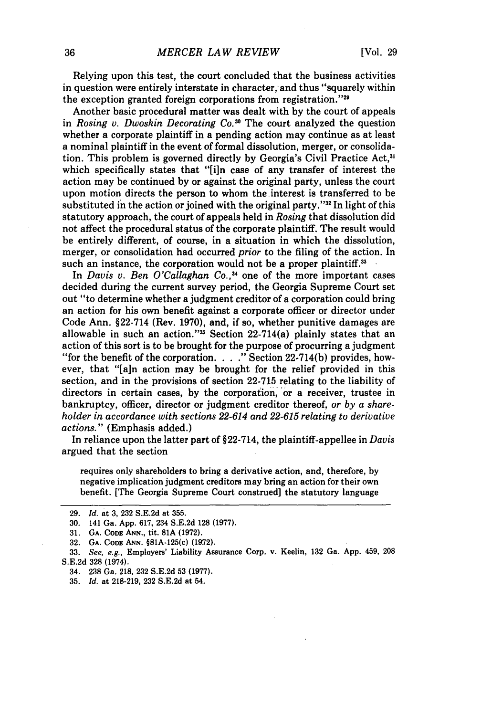Relying upon this test, the court concluded that the business activities in question were entirely interstate in character, and thus "squarely within the exception granted foreign corporations from registration." $29$ 

Another basic procedural matter was dealt with **by** the court of appeals in *Rosing v. Dwoskin Decorating Co."°* The court analyzed the question whether a corporate plaintiff in a pending action may continue as at least a nominal plaintiff in the event of formal dissolution, merger, or consolidation. This problem is governed directly **by** Georgia's Civil Practice Act,3' which specifically states that "[i]n case of any transfer of interest the action may be continued **by** or against the original party, unless the court upon motion directs the person to whom the interest is transferred to be substituted in the action or joined with the original party."<sup>32</sup> In light of this statutory approach, the court of appeals held in *Rosing* that dissolution did not affect the procedural status of the corporate plaintiff. The result would be entirely different, of course, in a situation in which the dissolution, merger, or consolidation had occurred *prior* to the filing of the action. In such an instance, the corporation would not be a proper plaintiff.<sup>33</sup>

In *Davis v. Ben O'Callaghan Co.*,<sup>34</sup> one of the more important cases decided during the current survey period, the Georgia Supreme Court set out "to determine whether a judgment creditor of a corporation could bring an action for his own benefit against a corporate officer or director under Code Ann. §22-714 (Rev. **1970),** and, if so, whether punitive damages are allowable in such an action."<sup>35</sup> Section  $22-714(a)$  plainly states that an action of this sort is to be brought for the purpose of procurring a judgment "for the benefit of the corporation. . **. ."** Section **22-714(b)** provides, however, that **"[a]n** action may be brought for the relief provided in this section, and in the provisions of section **22-715** relating to the liability of directors in certain cases, by the corporation, or a receiver, trustee in bankruptcy, officer, director or judgment creditor thereof, *or by a shareholder in accordance with sections 22-614 and 22-615 relating to derivative actions."* (Emphasis added.)

In reliance upon the latter part of §22-714, the plaintiff-appellee in *Davis* argued that the section

requires only shareholders to bring a derivative action, and, therefore, **by** negative implication judgment creditors may bring an action for their own benefit. [The Georgia Supreme Court construed] the statutory language

**<sup>29.</sup>** *Id.* at **3, 232 S.E.2d** at **355.**

**<sup>30.</sup>** 141 Ga. **App. 617,** 234 **S.E.2d 128 (1977).**

**<sup>31.</sup> GA. CODE ANN., tit. 81A (1972).**

**<sup>32.</sup> GA. CODE ANN.** §81A-125(c) **(1972).**

**<sup>33.</sup>** *See, e.g.,* **Employers' Liability Assurance Corp. v. Keelin, 132 Ga. App. 459, 208 S.E.2d 328** (1974).

<sup>34.</sup> **238** Ga. **218, 232 S.E.2d 53 (1977).**

**<sup>35.</sup>** *Id.* **at 218-219, 232 S.E.2d** at 54.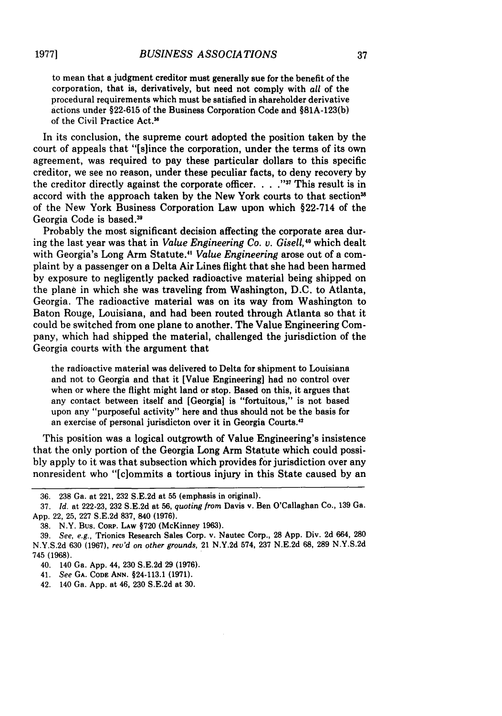to mean that a judgment creditor must generally sue for the benefit of the corporation, that is, derivatively, but need not comply with *all* of the procedural requirements which must be satisfied in shareholder derivative actions under **§22-615** of the Business Corporation Code and **§81A-123(b)** of the Civil Practice Act.'

In its conclusion, the supreme court adopted the position taken **by** the court of appeals that "[slince the corporation, under the terms of its own agreement, was required to pay these particular dollars to this specific creditor, we see no reason, under these peculiar facts, to deny recovery **by** the creditor directly against the corporate officer. . . **."I'** This result is in accord with the approach taken by the New York courts to that section<sup>38</sup> of the New York Business Corporation Law upon which §22-714 of the Georgia Code is based.

Probably the most significant decision affecting the corporate area during the last year was that in *Value Engineering Co. v. GiseU1, <sup>40</sup>*which dealt with Georgia's Long Arm Statute." *Value Engineering* arose out of a complaint **by** a passenger on a Delta Air Lines flight that she had been harmed **by** exposure to negligently packed radioactive material being shipped on the plane in which she was traveling from Washington, **D.C.** to Atlanta, Georgia. The radioactive material was on its way from Washington to Baton Rouge, Louisiana, and had been routed through Atlanta so that it could be switched from one plane to another. The Value Engineering Company, which had shipped the material, challenged the jurisdiction of the Georgia courts with the argument that

the radioactive material was delivered to Delta for shipment to Louisiana and not to Georgia and that it [Value Engineering] had no control over when or where the flight might land or stop. Based on this, it argues that any contact between itself and [Georgia] is "fortuitous," is not based upon any "purposeful activity" here and thus should not be the basis for an exercise of personal jurisdicton over it in Georgia Courts.42

This position was a logical outgrowth of Value Engineering's insistence that the only portion of the Georgia Long Arm Statute which could possi**bly** apply to it was that subsection which provides for jurisdiction over any nonresident who "[ciommits a tortious injury in this State caused **by** an

**<sup>36. 238</sup>** Ga. at 221, **232 S.E.2d** at **55** (emphasis in original).

**<sup>37.</sup>** *Id.* at **222-23, 232 S.E.2d** at **56,** *quoting from* Davis v. Ben O'Callaghan Co., **139** Ga. **App.** 22, **25, 227 S.E.2d 837,** 840 **(1976).**

**<sup>38.</sup>** N.Y. Bus. CORP. **LAW §720** (McKinney **1963).**

**<sup>39.</sup>** *See, e.g.,* Trionics Research Sales Corp. v. Nautec Corp., **28 App.** Div. **2d** 664, **280 N.Y.S.2d 630 (1967),** *rev'd on other grounds,* 21 **N.Y.2d** 574, **237 N.E.2d 68, 289 N.Y.S.2d** 745 **(1968).**

<sup>40. 140</sup> Ga. **App.** 44, **230 S.E.2d 29 (1976).**

<sup>41.</sup> *See* **GA. CODE ANN.** §24-113.1 **(1971).**

<sup>42. 140</sup> Ga. **App.** at 46, **230 S.E.2d** at **30.**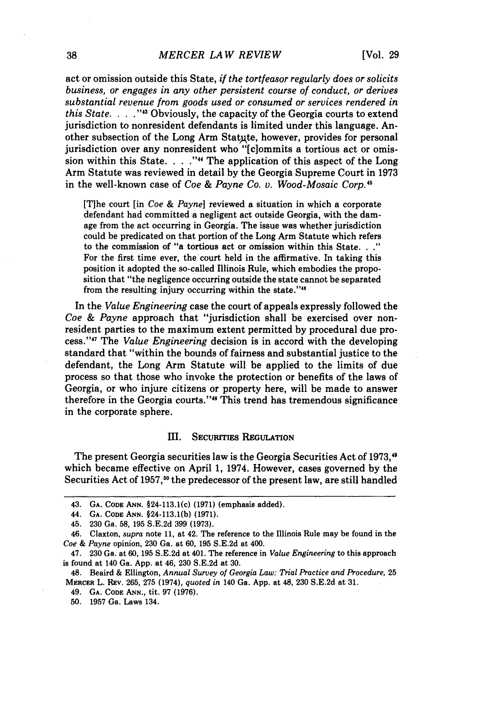act or omission outside this State, *if the tortfeasor regularly does or solicits business, or engages in any other persistent course of conduct, or derives substantial revenue from goods used or consumed or services rendered in this State. .* **.** . **"I'** Obviously, the capacity of the Georgia courts to extend jurisdiction to nonresident defendants is limited under this language. Another subsection of the Long Arm Statute, however, provides for personal jurisdiction over any nonresident who "[c]ommits a tortious act or omission within this State. . **. .""** The application of this aspect of the Long Arm Statute was reviewed in detail by the Georgia Supreme Court in 1973 in the well-known case of *Coe & Payne Co. v. Wood-Mosaic Corp.5*

[T]he court [in *Coe & Payne]* reviewed a situation in which a corporate defendant had committed a negligent act outside Georgia, with the damage from the act occurring in Georgia. The issue was whether jurisdiction could be predicated on that portion of the Long Arm Statute which refers to the commission of "a tortious act or omission within this State. **.. "** For the first time ever, the court held in the affirmative. In taking this position it adopted the so-called Illinois Rule, which embodies the proposition that "the negligence occurring outside the state cannot be separated from the resulting injury occurring within the state."<sup>46</sup>

In the *Value Engineering* case the court of appeals expressly followed the *Coe & Payne* approach that "jurisdiction shall be exercised over nonresident parties to the maximum extent permitted by procedural due process." 47 The *Value Engineering* decision is in accord with the developing standard that "within the bounds of fairness and substantial justice to the defendant, the Long Arm Statute will be applied to the limits of due process so that those who invoke the protection or benefits of the laws of Georgia, or who injure citizens or property here, will be made to answer therefore in the Georgia courts."<sup>48</sup> This trend has tremendous significance in the corporate sphere.

### Im. SECuRITIEs **REGULATION**

The present Georgia securities law is the Georgia Securities Act of 1973,<sup>40</sup> which became effective on April **1,** 1974. However, cases governed **by** the Securities Act of 1957,<sup>50</sup> the predecessor of the present law, are still handled

<sup>43.</sup> **GA. CODE ANN.** §24-113.1(c) **(1971)** (emphasis added).

<sup>44.</sup> **GA. CODE ANN.** §24-113.1(b) **(1971).**

<sup>45.</sup> **230** Ga. **58, 195 S.E.2d 399 (1973).**

<sup>46.</sup> Claxton, *supra* note **11,** at 42. The reference to the Illinois Rule may be found in the *Coe & Payne* opinion, **230** Ga. at **60, 195 S.E.2d** at 400.

<sup>47.</sup> **230** Ga. at 60, 195 **S.E.2d** at 401. The reference in *Value Engineering* to this approach is found at 140 Ga. **App.** at 46, **230 S.E.2d** at **30.**

<sup>48.</sup> Beaird **&** Ellington, *Annual Survey of Georgia Law: Trial Practice and Procedure,* **25** MERCER L. Rav. **265, 275** (1974), *quoted in* 140 Ga. **App.** at 48, **230 S.E.2d** at **31.**

<sup>49.</sup> **GA. CODE ANN.,** tit. **97 (1976).**

**<sup>50. 1957</sup>** Ga. Laws 134.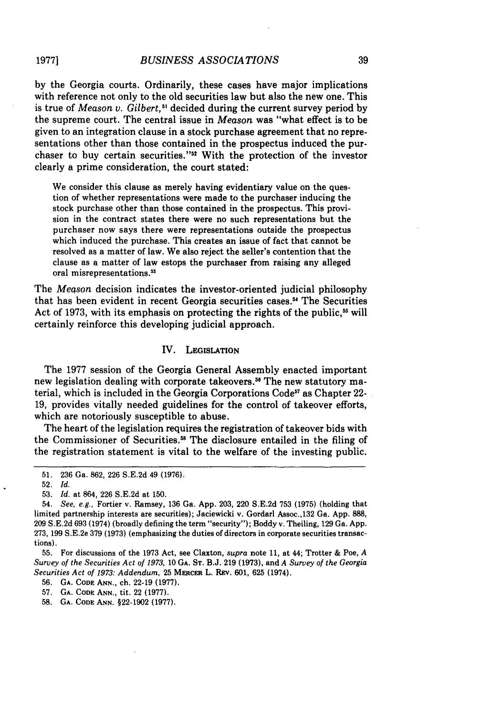**1977]**

**by** the Georgia courts. Ordinarily, these cases have major implications with reference not only to the old securities law but also the new one. This is true of *Meason v. Gilbert*,<sup>51</sup> decided during the current survey period by the supreme court. The central issue in *Meason* was "what effect is to be given to an integration clause in a stock purchase agreement that no representations other than those contained in the prospectus induced the purchaser to buy certain securities."52 With the protection of the investor clearly a prime consideration, the court stated:

We consider this clause as merely having evidentiary value on the question of whether representations were made to the purchaser inducing the stock purchase other than those contained in the prospectus. This provision in the contract states there were no such representations but the purchaser now says there were representations outside the prospectus which induced the purchase. This creates an issue of fact that cannot be resolved as a matter of law. We also reject the seller's contention that the clause as a matter of law estops the purchaser from raising any alleged oral misrepresentations.53

The *Meason* decision indicates the investor-oriented judicial philosophy that has been evident in recent Georgia securities cases.<sup>54</sup> The Securities Act of 1973, with its emphasis on protecting the rights of the public,<sup>55</sup> will certainly reinforce this developing judicial approach.

## IV. LEGISLATION

The **1977** session of the Georgia General Assembly enacted important new legislation dealing with corporate takeovers.<sup>56</sup> The new statutory material, which is included in the Georgia Corporations Code<sup>57</sup> as Chapter 22-**19,** provides vitally needed guidelines for the control of takeover efforts, which are notoriously susceptible to abuse.

The heart of the legislation requires the registration of takeover bids with the Commissioner of Securities.<sup>58</sup> The disclosure entailed in the filing of the registration statement is vital to the welfare of the investing public.

**56. GA. CODE ANN.,** ch. **22-19 (1977).**

**57. GA. CODE ANN.,** tit. **22 (1977).**

**58. GA. CODE ANN. §22-1902 (1977).**

**<sup>51. 236</sup>** Ga. **862, 226 S.E.2d** 49 **(1976).**

<sup>52.</sup> *Id.*

<sup>53.</sup> *Id.* at 864, 226 S.E.2d at 150.

<sup>54.</sup> *See, e.g.,* Fortier v. Ramsey, 136 Ga. App. 203, 220 S.E.2d 753 (1975) (holding that limited partnership interests are securities); Jaciewicki v. Gordarl Assoc.,132 Ga. App. 888, 209 S.E.2d 693 (1974) (broadly defining the term "security"); Boddy v. Theiling, 129 Ga. App. 273, **199** S.E.2e **379 (1973)** (emphasizing the duties of directors in corporate securities transactions).

**<sup>55.</sup>** For discussions of the **1973** Act, see Claxton, *supra* note **11,** at 44; Trotter **&** Poe, *A Survey of the Securities Act of 1973,* **10 GA. ST. B.J. 219 (1973),** and *A Survey of the Georgia Securities Act of 1973: Addendum,* **25 MERcER** L. REv. **601, 625** (1974).